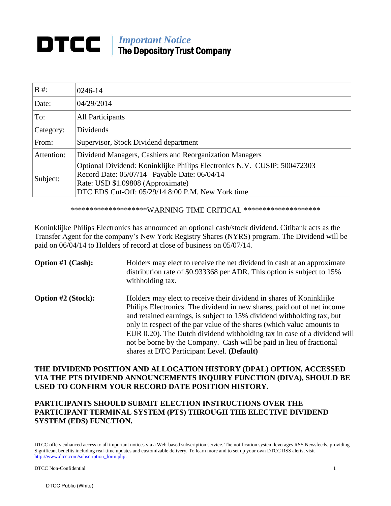# *Important Notice* The Depository Trust Company

| $B \#$ :   | $0246 - 14$                                                                                                                                                                                                        |
|------------|--------------------------------------------------------------------------------------------------------------------------------------------------------------------------------------------------------------------|
| Date:      | 04/29/2014                                                                                                                                                                                                         |
| To:        | <b>All Participants</b>                                                                                                                                                                                            |
| Category:  | Dividends                                                                                                                                                                                                          |
| From:      | Supervisor, Stock Dividend department                                                                                                                                                                              |
| Attention: | Dividend Managers, Cashiers and Reorganization Managers                                                                                                                                                            |
| Subject:   | Optional Dividend: Koninklijke Philips Electronics N.V. CUSIP: 500472303<br>Record Date: 05/07/14 Payable Date: 06/04/14<br>Rate: USD \$1.09808 (Approximate)<br>DTC EDS Cut-Off: 05/29/14 8:00 P.M. New York time |

\*\*\*\*\*\*\*\*\*\*\*\*\*\*\*\*\*\*\*\*\*WARNING TIME CRITICAL \*\*\*\*\*\*\*\*\*\*\*\*\*\*\*\*\*\*\*\*\*

Koninklijke Philips Electronics has announced an optional cash/stock dividend. Citibank acts as the Transfer Agent for the company's New York Registry Shares (NYRS) program. The Dividend will be paid on 06/04/14 to Holders of record at close of business on 05/07/14.

| <b>Option #1 (Cash):</b>  | Holders may elect to receive the net dividend in cash at an approximate<br>distribution rate of \$0.933368 per ADR. This option is subject to 15%<br>withholding tax.                                                                                                                                                                                                                                                                                                                                 |
|---------------------------|-------------------------------------------------------------------------------------------------------------------------------------------------------------------------------------------------------------------------------------------------------------------------------------------------------------------------------------------------------------------------------------------------------------------------------------------------------------------------------------------------------|
| <b>Option #2 (Stock):</b> | Holders may elect to receive their dividend in shares of Koninklijke<br>Philips Electronics. The dividend in new shares, paid out of net income<br>and retained earnings, is subject to 15% dividend withholding tax, but<br>only in respect of the par value of the shares (which value amounts to<br>EUR 0.20). The Dutch dividend withholding tax in case of a dividend will<br>not be borne by the Company. Cash will be paid in lieu of fractional<br>shares at DTC Participant Level. (Default) |

### **THE DIVIDEND POSITION AND ALLOCATION HISTORY (DPAL) OPTION, ACCESSED VIA THE PTS DIVIDEND ANNOUNCEMENTS INQUIRY FUNCTION (DIVA), SHOULD BE USED TO CONFIRM YOUR RECORD DATE POSITION HISTORY.**

## **PARTICIPANTS SHOULD SUBMIT ELECTION INSTRUCTIONS OVER THE PARTICIPANT TERMINAL SYSTEM (PTS) THROUGH THE ELECTIVE DIVIDEND SYSTEM (EDS) FUNCTION.**

DTCC offers enhanced access to all important notices via a Web-based subscription service. The notification system leverages RSS Newsfeeds, providing Significant benefits including real-time updates and customizable delivery. To learn more and to set up your own DTCC RSS alerts, visit http://www.dtcc.com/subscription\_form.php.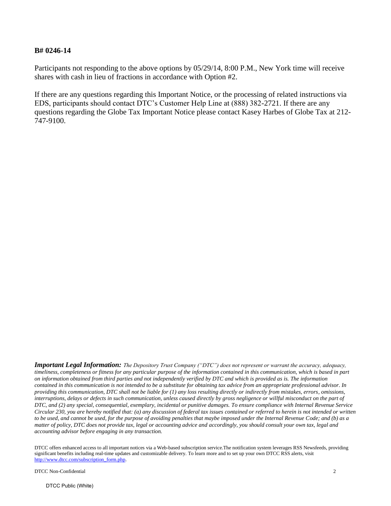#### **B# 0246-14**

Participants not responding to the above options by 05/29/14, 8:00 P.M., New York time will receive shares with cash in lieu of fractions in accordance with Option #2.

If there are any questions regarding this Important Notice, or the processing of related instructions via EDS, participants should contact DTC's Customer Help Line at (888) 382-2721. If there are any questions regarding the Globe Tax Important Notice please contact Kasey Harbes of Globe Tax at 212- 747-9100.

*Important Legal Information: The Depository Trust Company ("DTC") does not represent or warrant the accuracy, adequacy, timeliness, completeness or fitness for any particular purpose of the information contained in this communication, which is based in part on information obtained from third parties and not independently verified by DTC and which is provided as is. The information contained in this communication is not intended to be a substitute for obtaining tax advice from an appropriate professional advisor. In providing this communication, DTC shall not be liable for (1) any loss resulting directly or indirectly from mistakes, errors, omissions, interruptions, delays or defects in such communication, unless caused directly by gross negligence or willful misconduct on the part of DTC, and (2) any special, consequential, exemplary, incidental or punitive damages. To ensure compliance with Internal Revenue Service Circular 230, you are hereby notified that: (a) any discussion of federal tax issues contained or referred to herein is not intended or written to be used, and cannot be used, for the purpose of avoiding penalties that maybe imposed under the Internal Revenue Code; and (b) as a matter of policy, DTC does not provide tax, legal or accounting advice and accordingly, you should consult your own tax, legal and accounting advisor before engaging in any transaction.* 

DTCC offers enhanced access to all important notices via a Web-based subscription service.The notification system leverages RSS Newsfeeds, providing significant benefits including real-time updates and customizable delivery. To learn more and to set up your own DTCC RSS alerts, visit http://www.dtcc.com/subscription\_form.php.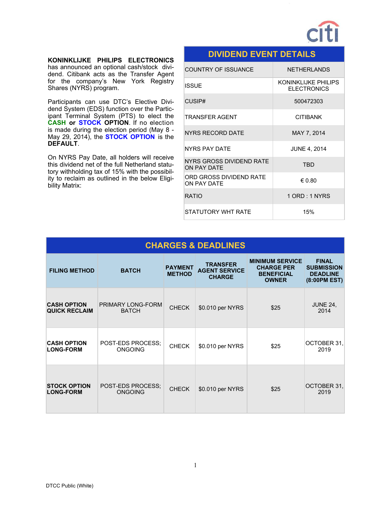

#### **KONINKLIJKE PHILIPS ELECTRONICS**

has announced an optional cash/stock dividend. Citibank acts as the Transfer Agent for the company's New York Registry Shares (NYRS) program.

Participants can use DTC's Elective Dividend System (EDS) function over the Participant Terminal System (PTS) to elect the **CASH or STOCK OPTION**. If no election is made during the election period (May 8 - May 29, 2014), the **STOCK OPTION** is the **DEFAULT**.

On NYRS Pay Date, all holders will receive this dividend net of the full Netherland statutory withholding tax of 15% with the possibility to reclaim as outlined in the below Eligibility Matrix:

## **DIVIDEND EVENT DETAILS**

| <b>COUNTRY OF ISSUANCE</b>              | <b>NETHERLANDS</b>                         |
|-----------------------------------------|--------------------------------------------|
| <b>ISSUE</b>                            | KONINKI IJKE PHILIPS<br><b>ELECTRONICS</b> |
| CUSIP#                                  | 500472303                                  |
| TRANSFER AGENT                          | <b>CITIBANK</b>                            |
| NYRS RECORD DATE                        | MAY 7, 2014                                |
| NYRS PAY DATE                           | <b>JUNE 4, 2014</b>                        |
| NYRS GROSS DIVIDEND RATE<br>ON PAY DATF | <b>TRD</b>                                 |
| ORD GROSS DIVIDEND RATE<br>ON PAY DATE  | € 0.80                                     |
| RATIO                                   | 1 ORD: 1 NYRS                              |
| STATUTORY WHT RATE                      | 15%                                        |

|                                            |                                     |                                 | <b>CHARGES &amp; DEADLINES</b>                           |                                                                                  |                                                                      |
|--------------------------------------------|-------------------------------------|---------------------------------|----------------------------------------------------------|----------------------------------------------------------------------------------|----------------------------------------------------------------------|
| <b>FILING METHOD</b>                       | <b>BATCH</b>                        | <b>PAYMENT</b><br><b>METHOD</b> | <b>TRANSFER</b><br><b>AGENT SERVICE</b><br><b>CHARGE</b> | <b>MINIMUM SERVICE</b><br><b>CHARGE PER</b><br><b>BENEFICIAL</b><br><b>OWNER</b> | <b>FINAL</b><br><b>SUBMISSION</b><br><b>DEADLINE</b><br>(8:00PM EST) |
| <b>CASH OPTION</b><br><b>QUICK RECLAIM</b> | PRIMARY LONG-FORM<br><b>BATCH</b>   | <b>CHECK</b>                    | \$0.010 per NYRS                                         | \$25                                                                             | <b>JUNE 24,</b><br>2014                                              |
| <b>CASH OPTION</b><br><b>LONG-FORM</b>     | POST-EDS PROCESS;<br><b>ONGOING</b> | <b>CHECK</b>                    | \$0.010 per NYRS                                         | \$25                                                                             | OCTOBER 31,<br>2019                                                  |
| <b>STOCK OPTION</b><br><b>LONG-FORM</b>    | POST-EDS PROCESS:<br><b>ONGOING</b> | <b>CHECK</b>                    | \$0.010 per NYRS                                         | \$25                                                                             | OCTOBER 31,<br>2019                                                  |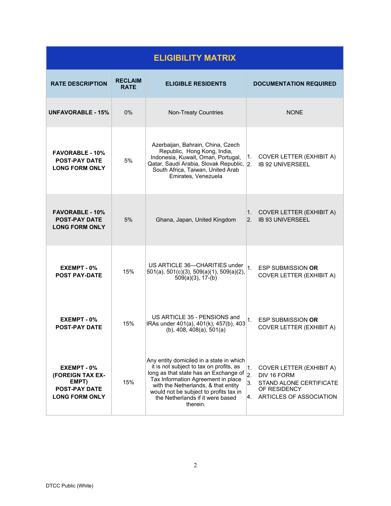| <b>ELIGIBILITY MATRIX</b>                                                                 |                               |                                                                                                                                                                                                                                                                                                     |                                                                                                                                               |
|-------------------------------------------------------------------------------------------|-------------------------------|-----------------------------------------------------------------------------------------------------------------------------------------------------------------------------------------------------------------------------------------------------------------------------------------------------|-----------------------------------------------------------------------------------------------------------------------------------------------|
| <b>RATE DESCRIPTION</b>                                                                   | <b>RECLAIM</b><br><b>RATE</b> | <b>ELIGIBLE RESIDENTS</b>                                                                                                                                                                                                                                                                           | <b>DOCUMENTATION REQUIRED</b>                                                                                                                 |
| <b>UNFAVORABLE - 15%</b>                                                                  | $0\%$                         | <b>Non-Treaty Countries</b>                                                                                                                                                                                                                                                                         | <b>NONE</b>                                                                                                                                   |
| <b>FAVORABLE - 10%</b><br><b>POST-PAY DATE</b><br><b>LONG FORM ONLY</b>                   | 5%                            | Azerbaijan, Bahrain, China, Czech<br>Republic, Hong Kong, India,<br>Indonesia, Kuwait, Oman, Portugal,<br>Qatar, Saudi Arabia, Slovak Republic, 2.<br>South Africa, Taiwan, United Arab<br>Emirates, Venezuela                                                                                      | <b>COVER LETTER (EXHIBIT A)</b><br>1.<br><b>IB 92 UNIVERSEEL</b>                                                                              |
| <b>FAVORABLE - 10%</b><br><b>POST-PAY DATE</b><br><b>LONG FORM ONLY</b>                   | 5%                            | Ghana, Japan, United Kingdom                                                                                                                                                                                                                                                                        | <b>COVER LETTER (EXHIBIT A)</b><br>1.<br><b>IB 93 UNIVERSEEL</b><br>2 <sup>2</sup>                                                            |
| EXEMPT - 0%<br><b>POST PAY-DATE</b>                                                       | 15%                           | US ARTICLE 36-CHARITIES under<br>501(a), 501(c)(3), 509(a)(1), 509(a)(2),<br>$509(a)(3)$ , 17-(b)                                                                                                                                                                                                   | 1 <sub>1</sub><br><b>ESP SUBMISSION OR</b><br><b>COVER LETTER (EXHIBIT A)</b>                                                                 |
| EXEMPT - 0%<br><b>POST-PAY DATE</b>                                                       | 15%                           | US ARTICLE 35 - PENSIONS and<br>IRAs under 401(a), 401(k), 457(b), 403<br>$(b)$ , 408, 408 $(a)$ , 501 $(a)$                                                                                                                                                                                        | 1.<br><b>ESP SUBMISSION OR</b><br><b>COVER LETTER (EXHIBIT A)</b>                                                                             |
| EXEMPT - 0%<br>(FOREIGN TAX EX-<br>EMPT)<br><b>POST-PAY DATE</b><br><b>LONG FORM ONLY</b> | 15%                           | Any entity domiciled in a state in which<br>it is not subject to tax on profits, as<br>long as that state has an Exchange of<br>Tax Information Agreement in place<br>with the Netherlands, & that entity<br>would not be subject to profits tax in<br>the Netherlands if it were based<br>therein. | <b>COVER LETTER (EXHIBIT A)</b><br>1.<br>2.<br>DIV 16 FORM<br>3.<br>STAND ALONE CERTIFICATE<br>OF RESIDENCY<br>ARTICLES OF ASSOCIATION<br>Ι4. |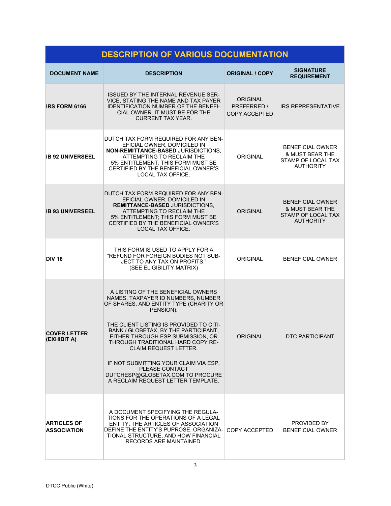| <b>DESCRIPTION OF VARIOUS DOCUMENTATION</b> |                                                                                                                                                                                                                                                                                                                                                                                                                                                                   |                                                        |                                                                                                 |
|---------------------------------------------|-------------------------------------------------------------------------------------------------------------------------------------------------------------------------------------------------------------------------------------------------------------------------------------------------------------------------------------------------------------------------------------------------------------------------------------------------------------------|--------------------------------------------------------|-------------------------------------------------------------------------------------------------|
| <b>DOCUMENT NAME</b>                        | <b>DESCRIPTION</b>                                                                                                                                                                                                                                                                                                                                                                                                                                                | <b>ORIGINAL / COPY</b>                                 | <b>SIGNATURE</b><br><b>REQUIREMENT</b>                                                          |
| <b>IRS FORM 6166</b>                        | <b>ISSUED BY THE INTERNAL REVENUE SER-</b><br>VICE, STATING THE NAME AND TAX PAYER<br><b>IDENTIFICATION NUMBER OF THE BENEFI-</b><br>CIAL OWNER. IT MUST BE FOR THE<br><b>CURRENT TAX YEAR.</b>                                                                                                                                                                                                                                                                   | <b>ORIGINAL</b><br>PREFERRED /<br><b>COPY ACCEPTED</b> | <b>IRS REPRESENTATIVE</b>                                                                       |
| <b>IB 92 UNIVERSEEL</b>                     | DUTCH TAX FORM REQUIRED FOR ANY BEN-<br>EFICIAL OWNER, DOMICILED IN<br>NON-REMITTANCE-BASED JURISDICTIONS,<br>ATTEMPTING TO RECLAIM THE<br>5% ENTITLEMENT; THIS FORM MUST BE<br>CERTIFIED BY THE BENEFICIAL OWNER'S<br>LOCAL TAX OFFICE.                                                                                                                                                                                                                          | <b>ORIGINAL</b>                                        | <b>BENEFICIAL OWNER</b><br>& MUST BEAR THE<br>STAMP OF LOCAL TAX<br><b>AUTHORITY</b>            |
| <b>IB 93 UNIVERSEEL</b>                     | DUTCH TAX FORM REQUIRED FOR ANY BEN-<br>EFICIAL OWNER, DOMICILED IN<br><b>REMITTANCE-BASED JURISDICTIONS.</b><br>ATTEMPTING TO RECLAIM THE<br>5% ENTITLEMENT; THIS FORM MUST BE<br>CERTIFIED BY THE BENEFICIAL OWNER'S<br>LOCAL TAX OFFICE.                                                                                                                                                                                                                       | <b>ORIGINAL</b>                                        | <b>BENEFICIAL OWNER</b><br><b>&amp; MUST BEAR THE</b><br>STAMP OF LOCAL TAX<br><b>AUTHORITY</b> |
| <b>DIV 16</b>                               | THIS FORM IS USED TO APPLY FOR A<br>"REFUND FOR FOREIGN BODIES NOT SUB-<br>JECT TO ANY TAX ON PROFITS."<br>(SEE ELIGIBILITY MATRIX)                                                                                                                                                                                                                                                                                                                               | <b>ORIGINAL</b>                                        | <b>BENEFICIAL OWNER</b>                                                                         |
| <b>COVER LETTER</b><br>(EXHIBIT A)          | A LISTING OF THE BENEFICIAL OWNERS<br>NAMES, TAXPAYER ID NUMBERS, NUMBER<br>OF SHARES, AND ENTITY TYPE (CHARITY OR<br>PENSION).<br>THE CLIENT LISTING IS PROVIDED TO CITI-<br>BANK / GLOBETAX, BY THE PARTICIPANT,<br>EITHER THROUGH ESP SUBMISSION, OR<br>THROUGH TRADITIONAL HARD COPY RE-<br><b>CLAIM REQUEST LETTER.</b><br>IF NOT SUBMITTING YOUR CLAIM VIA ESP.<br>PLEASE CONTACT<br>DUTCHESP@GLOBETAX.COM TO PROCURE<br>A RECLAIM REQUEST LETTER TEMPLATE. | <b>ORIGINAL</b>                                        | <b>DTC PARTICIPANT</b>                                                                          |
| <b>ARTICLES OF</b><br><b>ASSOCIATION</b>    | A DOCUMENT SPECIFYING THE REGULA-<br>TIONS FOR THE OPERATIONS OF A LEGAL<br>ENTITY. THE ARTICLES OF ASSOCIATION<br>DEFINE THE ENTITY'S PUPROSE, ORGANIZA-<br>TIONAL STRUCTURE, AND HOW FINANCIAL<br>RECORDS ARE MAINTAINED.                                                                                                                                                                                                                                       | COPY ACCEPTED                                          | PROVIDED BY<br><b>BENEFICIAL OWNER</b>                                                          |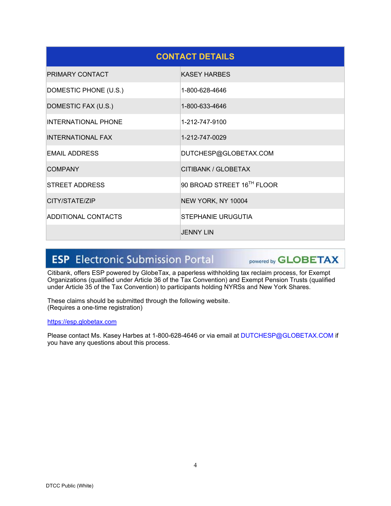|                            | <b>CONTACT DETAILS</b>     |
|----------------------------|----------------------------|
| PRIMARY CONTACT            | <b>KASEY HARBES</b>        |
| DOMESTIC PHONE (U.S.)      | 1-800-628-4646             |
| DOMESTIC FAX (U.S.)        | 1-800-633-4646             |
| <b>INTERNATIONAL PHONE</b> | 1-212-747-9100             |
| <b>INTERNATIONAL FAX</b>   | 1-212-747-0029             |
| <b>EMAIL ADDRESS</b>       | DUTCHESP@GLOBETAX.COM      |
| <b>COMPANY</b>             | CITIBANK / GLOBETAX        |
| <b>STREET ADDRESS</b>      | 90 BROAD STREET 16TH FLOOR |
| CITY/STATE/ZIP             | NEW YORK, NY 10004         |
| ADDITIONAL CONTACTS        | STEPHANIE URUGUTIA         |
|                            | <b>JENNY LIN</b>           |

# **ESP** Electronic Submission Portal

powered by **GLOBETAX** 

Citibank, offers ESP powered by GlobeTax, a paperless withholding tax reclaim process, for Exempt Organizations (qualified under Article 36 of the Tax Convention) and Exempt Pension Trusts (qualified under Article 35 of the Tax Convention) to participants holding NYRSs and New York Shares.

These claims should be submitted through the following website. (Requires a one-time registration)

#### https://esp.globetax.com

Please contact Ms. Kasey Harbes at 1-800-628-4646 or via email at DUTCHESP@GLOBETAX.COM if you have any questions about this process.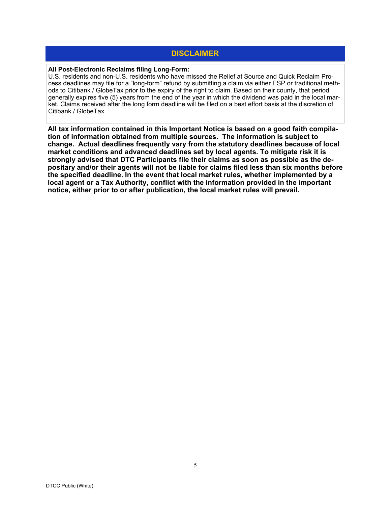## **DISCLAIMER**

#### **All Post-Electronic Reclaims filing Long-Form:**

U.S. residents and non-U.S. residents who have missed the Relief at Source and Quick Reclaim Process deadlines may file for a "long-form" refund by submitting a claim via either ESP or traditional methods to Citibank / GlobeTax prior to the expiry of the right to claim. Based on their county, that period generally expires five (5) years from the end of the year in which the dividend was paid in the local market. Claims received after the long form deadline will be filed on a best effort basis at the discretion of Citibank / GlobeTax.

**All tax information contained in this Important Notice is based on a good faith compilation of information obtained from multiple sources. The information is subject to change. Actual deadlines frequently vary from the statutory deadlines because of local market conditions and advanced deadlines set by local agents. To mitigate risk it is strongly advised that DTC Participants file their claims as soon as possible as the depositary and/or their agents will not be liable for claims filed less than six months before the specified deadline. In the event that local market rules, whether implemented by a local agent or a Tax Authority, conflict with the information provided in the important notice, either prior to or after publication, the local market rules will prevail.**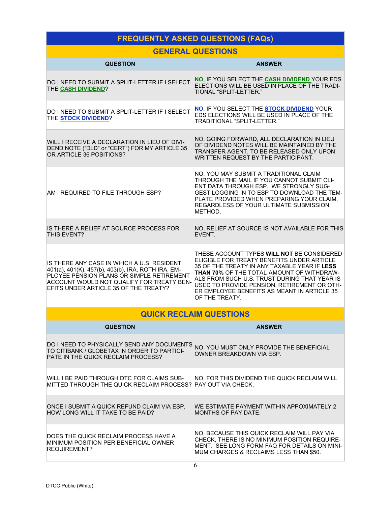# **FREQUENTLY ASKED QUESTIONS (FAQs)**

## **GENERAL QUESTIONS**

| <b>QUESTION</b>                                                                                                                                                                                                                     | <b>ANSWER</b>                                                                                                                                                                                                                                                                                                                                                |
|-------------------------------------------------------------------------------------------------------------------------------------------------------------------------------------------------------------------------------------|--------------------------------------------------------------------------------------------------------------------------------------------------------------------------------------------------------------------------------------------------------------------------------------------------------------------------------------------------------------|
| DO I NEED TO SUBMIT A SPLIT-LETTER IF I SELECT<br>THE CASH DIVIDEND?                                                                                                                                                                | NO, IF YOU SELECT THE CASH DIVIDEND YOUR EDS<br>ELECTIONS WILL BE USED IN PLACE OF THE TRADI-<br><b>TIONAL "SPLIT-LETTER."</b>                                                                                                                                                                                                                               |
| DO I NEED TO SUBMIT A SPLIT-LETTER IF I SELECT<br>THE <b>STOCK DIVIDEND?</b>                                                                                                                                                        | NO, IF YOU SELECT THE <b>STOCK DIVIDEND</b> YOUR<br>EDS ELECTIONS WILL BE USED IN PLACE OF THE<br><b>TRADITIONAL "SPLIT-LETTER."</b>                                                                                                                                                                                                                         |
| WILL I RECEIVE A DECLARATION IN LIEU OF DIVI-<br>DEND NOTE ("DLD" or "CERT") FOR MY ARTICLE 35<br>OR ARTICLE 36 POSITIONS?                                                                                                          | NO, GOING FORWARD, ALL DECLARATION IN LIEU<br>OF DIVIDEND NOTES WILL BE MAINTAINED BY THE<br>TRANSFER AGENT, TO BE RELEASED ONLY UPON<br>WRITTEN REQUEST BY THE PARTICIPANT.                                                                                                                                                                                 |
| AM I REQUIRED TO FILE THROUGH ESP?                                                                                                                                                                                                  | NO, YOU MAY SUBMIT A TRADITIONAL CLAIM<br>THROUGH THE MAIL IF YOU CANNOT SUBMIT CLI-<br>ENT DATA THROUGH ESP. WE STRONGLY SUG-<br>GEST LOGGING IN TO ESP TO DOWNLOAD THE TEM-<br>PLATE PROVIDED WHEN PREPARING YOUR CLAIM.<br>REGARDLESS OF YOUR ULTIMATE SUBMISSION<br>METHOD.                                                                              |
| IS THERE A RELIEF AT SOURCE PROCESS FOR<br>THIS EVENT?                                                                                                                                                                              | NO, RELIEF AT SOURCE IS NOT AVAILABLE FOR THIS<br>EVENT.                                                                                                                                                                                                                                                                                                     |
| IS THERE ANY CASE IN WHICH A U.S. RESIDENT<br>401(a), 401(K), 457(b), 403(b), IRA, ROTH IRA, EM-<br>PLOYEE PENSION PLANS OR SIMPLE RETIREMENT<br>ACCOUNT WOULD NOT QUALIFY FOR TREATY BEN-<br>EFITS UNDER ARTICLE 35 OF THE TREATY? | THESE ACCOUNT TYPES WILL NOT BE CONSIDERED<br>ELIGIBLE FOR TREATY BENEFITS UNDER ARTICLE<br>35 OF THE TREATY IN ANY TAXABLE YEAR IF LESS<br><b>THAN 70% OF THE TOTAL AMOUNT OF WITHDRAW-</b><br>ALS FROM SUCH U.S. TRUST DURING THAT YEAR IS<br>USED TO PROVIDE PENSION, RETIREMENT OR OTH-<br>ER EMPLOYEE BENEFITS AS MEANT IN ARTICLE 35<br>OF THE TREATY. |
|                                                                                                                                                                                                                                     | <b>QUICK RECLAIM QUESTIONS</b>                                                                                                                                                                                                                                                                                                                               |
| <b>QUESTION</b>                                                                                                                                                                                                                     | <b>ANSWER</b>                                                                                                                                                                                                                                                                                                                                                |
| DO I NEED TO PHYSICALLY SEND ANY DOCUMENTS<br>TO CITIBANK / GLOBETAX IN ORDER TO PARTICI-<br>PATE IN THE QUICK RECLAIM PROCESS?                                                                                                     | NO, YOU MUST ONLY PROVIDE THE BENEFICIAL<br>OWNER BREAKDOWN VIA ESP.                                                                                                                                                                                                                                                                                         |
| WILL I BE PAID THROUGH DTC FOR CLAIMS SUB-<br>MITTED THROUGH THE QUICK RECLAIM PROCESS? PAY OUT VIA CHECK.                                                                                                                          | NO, FOR THIS DIVIDEND THE QUICK RECLAIM WILL                                                                                                                                                                                                                                                                                                                 |
| ONCE I SUBMIT A QUICK REFUND CLAIM VIA ESP,<br>HOW LONG WILL IT TAKE TO BE PAID?                                                                                                                                                    | WE ESTIMATE PAYMENT WITHIN APPOXIMATELY 2<br>MONTHS OF PAY DATE.                                                                                                                                                                                                                                                                                             |
| DOES THE QUICK RECLAIM PROCESS HAVE A<br>MINIMUM POSITION PER BENEFICIAL OWNER<br><b>REQUIREMENT?</b>                                                                                                                               | NO, BECAUSE THIS QUICK RECLAIM WILL PAY VIA<br>CHECK, THERE IS NO MINIMUM POSITION REQUIRE-<br>MENT. SEE LONG FORM FAQ FOR DETAILS ON MINI-<br>MUM CHARGES & RECLAIMS LESS THAN \$50.                                                                                                                                                                        |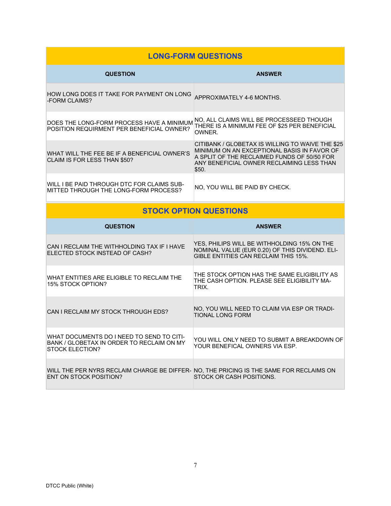|                                                                                                                  | <b>LONG-FORM QUESTIONS</b>                                                                                                                                                                           |
|------------------------------------------------------------------------------------------------------------------|------------------------------------------------------------------------------------------------------------------------------------------------------------------------------------------------------|
| <b>QUESTION</b>                                                                                                  | <b>ANSWER</b>                                                                                                                                                                                        |
| HOW LONG DOES IT TAKE FOR PAYMENT ON LONG APPROXIMATELY 4-6 MONTHS.<br>-FORM CLAIMS?                             |                                                                                                                                                                                                      |
| DOES THE LONG-FORM PROCESS HAVE A MINIMUM<br>POSITION REQUIRMENT PER BENEFICIAL OWNER?                           | NO, ALL CLAIMS WILL BE PROCESSEED THOUGH<br>THERE IS A MINIMUM FEE OF \$25 PER BENEFICIAL<br>OWNER.                                                                                                  |
| WHAT WILL THE FEE BE IF A BENEFICIAL OWNER'S<br>CLAIM IS FOR LESS THAN \$50?                                     | CITIBANK / GLOBETAX IS WILLING TO WAIVE THE \$25<br>MINIMUM ON AN EXCEPTIONAL BASIS IN FAVOR OF<br>A SPLIT OF THE RECLAIMED FUNDS OF 50/50 FOR<br>ANY BENEFICIAL OWNER RECLAIMING LESS THAN<br>\$50. |
| WILL I BE PAID THROUGH DTC FOR CLAIMS SUB-<br>MITTED THROUGH THE LONG-FORM PROCESS?                              | NO, YOU WILL BE PAID BY CHECK.                                                                                                                                                                       |
|                                                                                                                  | <b>STOCK OPTION QUESTIONS</b>                                                                                                                                                                        |
|                                                                                                                  |                                                                                                                                                                                                      |
| <b>QUESTION</b>                                                                                                  | <b>ANSWER</b>                                                                                                                                                                                        |
| CAN I RECLAIM THE WITHHOLDING TAX IF I HAVE<br>ELECTED STOCK INSTEAD OF CASH?                                    | YES, PHILIPS WILL BE WITHHOLDING 15% ON THE<br>NOMINAL VALUE (EUR 0.20) OF THIS DIVIDEND. ELI-<br>GIBLE ENTITIES CAN RECLAIM THIS 15%.                                                               |
| WHAT ENTITIES ARE ELIGIBLE TO RECLAIM THE<br>15% STOCK OPTION?                                                   | THE STOCK OPTION HAS THE SAME ELIGIBILITY AS<br>THE CASH OPTION. PLEASE SEE ELIGIBILITY MA-<br>TRIX.                                                                                                 |
| CAN I RECLAIM MY STOCK THROUGH EDS?                                                                              | NO, YOU WILL NEED TO CLAIM VIA ESP OR TRADI-<br><b>TIONAL LONG FORM</b>                                                                                                                              |
| WHAT DOCUMENTS DO I NEED TO SEND TO CITI-<br>BANK / GLOBETAX IN ORDER TO RECLAIM ON MY<br><b>STOCK ELECTION?</b> | YOU WILL ONLY NEED TO SUBMIT A BREAKDOWN OF<br>YOUR BENEFICAL OWNERS VIA ESP.                                                                                                                        |